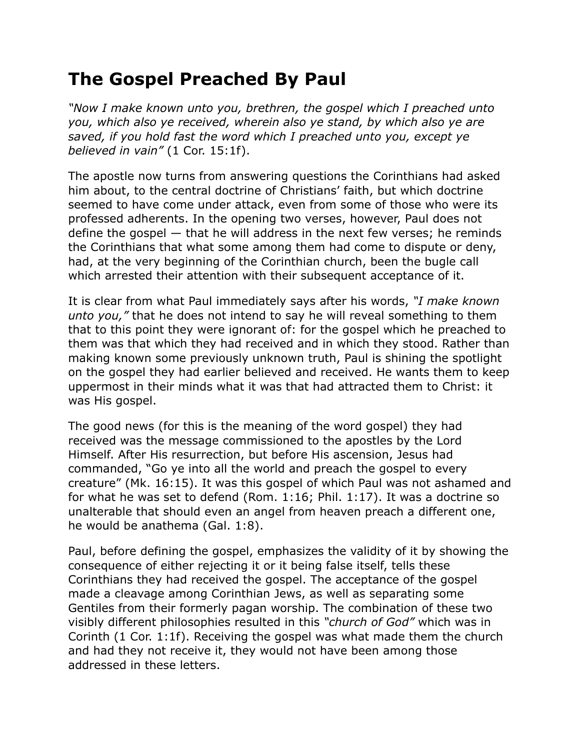## **The Gospel Preached By Paul**

*"Now I make known unto you, brethren, the gospel which I preached unto you, which also ye received, wherein also ye stand, by which also ye are saved, if you hold fast the word which I preached unto you, except ye believed in vain"* (1 Cor. 15:1f).

The apostle now turns from answering questions the Corinthians had asked him about, to the central doctrine of Christians' faith, but which doctrine seemed to have come under attack, even from some of those who were its professed adherents. In the opening two verses, however, Paul does not define the gospel — that he will address in the next few verses; he reminds the Corinthians that what some among them had come to dispute or deny, had, at the very beginning of the Corinthian church, been the bugle call which arrested their attention with their subsequent acceptance of it.

It is clear from what Paul immediately says after his words, *"I make known unto you,"* that he does not intend to say he will reveal something to them that to this point they were ignorant of: for the gospel which he preached to them was that which they had received and in which they stood. Rather than making known some previously unknown truth, Paul is shining the spotlight on the gospel they had earlier believed and received. He wants them to keep uppermost in their minds what it was that had attracted them to Christ: it was His gospel.

The good news (for this is the meaning of the word gospel) they had received was the message commissioned to the apostles by the Lord Himself. After His resurrection, but before His ascension, Jesus had commanded, "Go ye into all the world and preach the gospel to every creature" (Mk. 16:15). It was this gospel of which Paul was not ashamed and for what he was set to defend (Rom. 1:16; Phil. 1:17). It was a doctrine so unalterable that should even an angel from heaven preach a different one, he would be anathema (Gal. 1:8).

Paul, before defining the gospel, emphasizes the validity of it by showing the consequence of either rejecting it or it being false itself, tells these Corinthians they had received the gospel. The acceptance of the gospel made a cleavage among Corinthian Jews, as well as separating some Gentiles from their formerly pagan worship. The combination of these two visibly different philosophies resulted in this *"church of God"* which was in Corinth (1 Cor. 1:1f). Receiving the gospel was what made them the church and had they not receive it, they would not have been among those addressed in these letters.